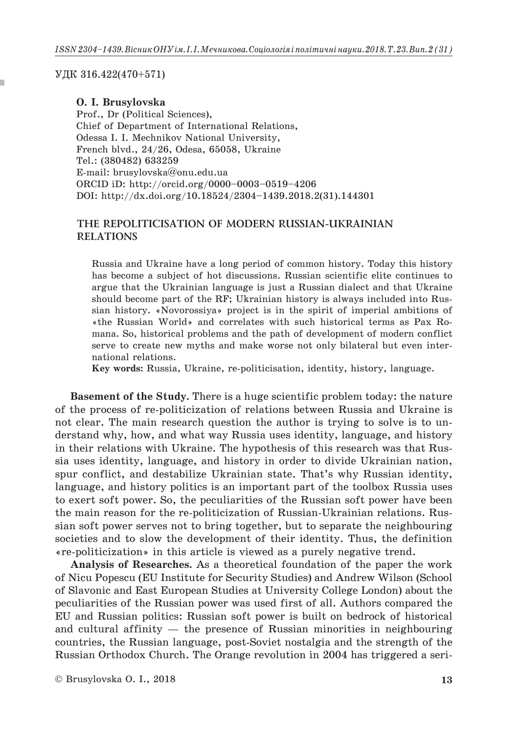## УДК 316.422(470+571)

### **O. I. Brusylovska**

Prof., Dr (Political Sciences), Chief of Department of International Relations, Odessa I. I. Mechnikov National University, French blvd., 24/26, Odesa, 65058, Ukraine Tel.: (380482) 633259 E-mail: brusylovska@onu.edu.ua ОRCID iD: http://orcid.org/0000–0003–0519–4206 DOI: http://dx.doi.org/10.18524/2304–1439.2018.2(31).144301

## **THE REPOLITICISATION OF MODERN RUSSIAN-UKRAINIAN RELATIONS**

Russia and Ukraine have a long period of common history. Today this history has become a subject of hot discussions. Russian scientific elite continues to argue that the Ukrainian language is just a Russian dialect and that Ukraine should become part of the RF; Ukrainian history is always included into Russian history. «Novorossiya» project is in the spirit of imperial ambitions of «the Russian World» and correlates with such historical terms as Pax Romana. So, historical problems and the path of development of modern conflict serve to create new myths and make worse not only bilateral but even international relations.

**Key words:** Russia, Ukraine, re-politicisation, identity, history, language.

**Basement of the Study.** There is a huge scientific problem today: the nature of the process of re-politicization of relations between Russia and Ukraine is not clear. The main research question the author is trying to solve is to understand why, how, and what way Russia uses identity, language, and history in their relations with Ukraine. The hypothesis of this research was that Russia uses identity, language, and history in order to divide Ukrainian nation, spur conflict, and destabilize Ukrainian state. That's why Russian identity, language, and history politics is an important part of the toolbox Russia uses to exert soft power. So, the peculiarities of the Russian soft power have been the main reason for the re-politicization of Russian-Ukrainian relations. Russian soft power serves not to bring together, but to separate the neighbouring societies and to slow the development of their identity. Thus, the definition «re-politicization» in this article is viewed as a purely negative trend.

**Analysis of Researches.** As a theoretical foundation of the paper the work of Nicu Popescu (EU Institute for Security Studies) and Andrew Wilson (School of Slavonic and East European Studies at University College London) about the peculiarities of the Russian power was used first of all. Authors compared the EU and Russian politics: Russian soft power is built on bedrock of historical and cultural affinity — the presence of Russian minorities in neighbouring countries, the Russian language, post-Soviet nostalgia and the strength of the Russian Orthodox Church. The Orange revolution in 2004 has triggered a seri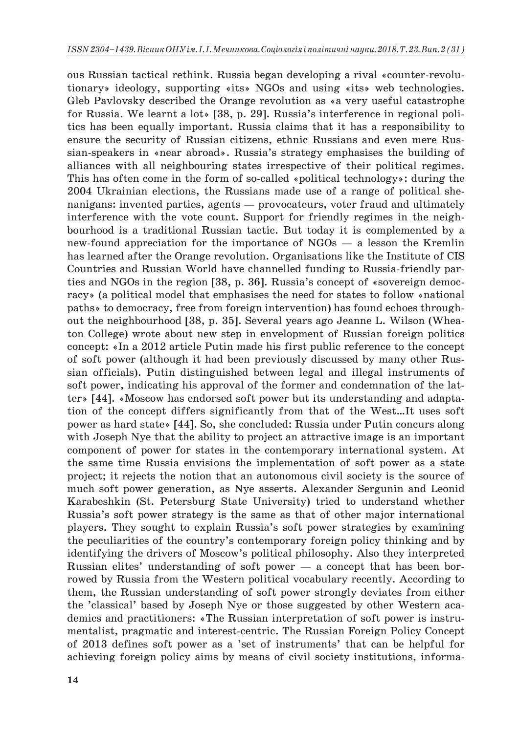ous Russian tactical rethink. Russia began developing a rival «counter-revolutionary» ideology, supporting «its» NGOs and using «its» web technologies. Gleb Pavlovsky described the Orange revolution as «a very useful catastrophe for Russia. We learnt a lot» [38, p. 29]. Russia's interference in regional politics has been equally important. Russia claims that it has a responsibility to ensure the security of Russian citizens, ethnic Russians and even mere Russian-speakers in «near abroad». Russia's strategy emphasises the building of alliances with all neighbouring states irrespective of their political regimes. This has often come in the form of so-called «political technology»: during the 2004 Ukrainian elections, the Russians made use of a range of political shenanigans: invented parties, agents — provocateurs, voter fraud and ultimately interference with the vote count. Support for friendly regimes in the neighbourhood is a traditional Russian tactic. But today it is complemented by a new-found appreciation for the importance of NGOs — a lesson the Kremlin has learned after the Orange revolution. Organisations like the Institute of CIS Countries and Russian World have channelled funding to Russia-friendly parties and NGOs in the region [38, p. 36]. Russia's concept of «sovereign democracy» (a political model that emphasises the need for states to follow «national paths» to democracy, free from foreign intervention) has found echoes throughout the neighbourhood [38, p. 35]. Several years ago Jeanne L. Wilson (Wheaton College) wrote about new step in envelopment of Russian foreign politics concept: «In a 2012 article Putin made his first public reference to the concept of soft power (although it had been previously discussed by many other Russian officials). Putin distinguished between legal and illegal instruments of soft power, indicating his approval of the former and condemnation of the latter» [44]. «Moscow has endorsed soft power but its understanding and adaptation of the concept differs significantly from that of the West…It uses soft power as hard state» [44]. So, she concluded: Russia under Putin concurs along with Joseph Nye that the ability to project an attractive image is an important component of power for states in the contemporary international system. At the same time Russia envisions the implementation of soft power as a state project; it rejects the notion that an autonomous civil society is the source of much soft power generation, as Nye asserts. Alexander Sergunin and Leonid Karabeshkin (St. Petersburg State University) tried to understand whether Russia's soft power strategy is the same as that of other major international players. They sought to explain Russia's soft power strategies by examining the peculiarities of the country's contemporary foreign policy thinking and by identifying the drivers of Moscow's political philosophy. Also they interpreted Russian elites' understanding of soft power — a concept that has been borrowed by Russia from the Western political vocabulary recently. According to them, the Russian understanding of soft power strongly deviates from either the 'classical' based by Joseph Nye or those suggested by other Western academics and practitioners: «The Russian interpretation of soft power is instrumentalist, pragmatic and interest-centric. The Russian Foreign Policy Concept of 2013 defines soft power as a 'set of instruments' that can be helpful for achieving foreign policy aims by means of civil society institutions, informa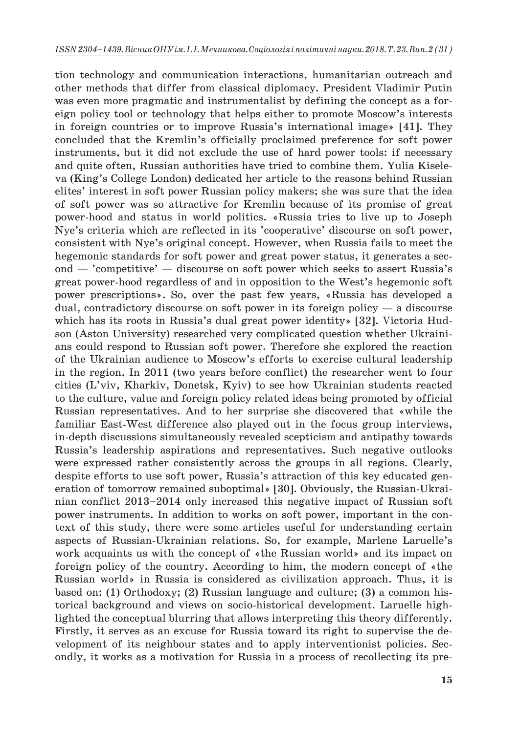tion technology and communication interactions, humanitarian outreach and other methods that differ from classical diplomacy. President Vladimir Putin was even more pragmatic and instrumentalist by defining the concept as a foreign policy tool or technology that helps either to promote Moscow's interests in foreign countries or to improve Russia's international image» [41]. They concluded that the Kremlin's officially proclaimed preference for soft power instruments, but it did not exclude the use of hard power tools: if necessary and quite often, Russian authorities have tried to combine them. Yulia Kiseleva (King's College London) dedicated her article to the reasons behind Russian elites' interest in soft power Russian policy makers; she was sure that the idea of soft power was so attractive for Kremlin because of its promise of great power-hood and status in world politics. «Russia tries to live up to Joseph Nye's criteria which are reflected in its 'cooperative' discourse on soft power, consistent with Nye's original concept. However, when Russia fails to meet the hegemonic standards for soft power and great power status, it generates a second — 'competitive' — discourse on soft power which seeks to assert Russia's great power-hood regardless of and in opposition to the West's hegemonic soft power prescriptions». So, over the past few years, «Russia has developed a dual, contradictory discourse on soft power in its foreign policy — a discourse which has its roots in Russia's dual great power identity» [32]. Victoria Hudson (Aston University) researched very complicated question whether Ukrainians could respond to Russian soft power. Therefore she explored the reaction of the Ukrainian audience to Moscow's efforts to exercise cultural leadership in the region. In 2011 (two years before conflict) the researcher went to four cities (L'viv, Kharkiv, Donetsk, Kyiv) to see how Ukrainian students reacted to the culture, value and foreign policy related ideas being promoted by official Russian representatives. And to her surprise she discovered that «while the familiar East-West difference also played out in the focus group interviews, in-depth discussions simultaneously revealed scepticism and antipathy towards Russia's leadership aspirations and representatives. Such negative outlooks were expressed rather consistently across the groups in all regions. Clearly, despite efforts to use soft power, Russia's attraction of this key educated generation of tomorrow remained suboptimal» [30]. Obviously, the Russian-Ukrainian conflict 2013–2014 only increased this negative impact of Russian soft power instruments. In addition to works on soft power, important in the context of this study, there were some articles useful for understanding certain aspects of Russian-Ukrainian relations. So, for example, Marlene Laruelle's work acquaints us with the concept of «the Russian world» and its impact on foreign policy of the country. According to him, the modern concept of «the Russian world» in Russia is considered as civilization approach. Thus, it is based on: (1) Orthodoxy; (2) Russian language and culture; (3) a common historical background and views on socio-historical development. Laruelle highlighted the conceptual blurring that allows interpreting this theory differently. Firstly, it serves as an excuse for Russia toward its right to supervise the development of its neighbour states and to apply interventionist policies. Secondly, it works as a motivation for Russia in a process of recollecting its pre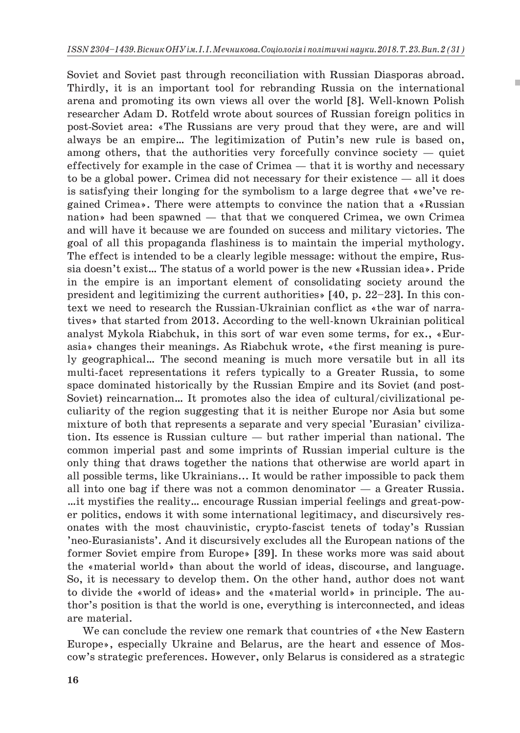Soviet and Soviet past through reconciliation with Russian Diasporas abroad. Thirdly, it is an important tool for rebranding Russia on the international arena and promoting its own views all over the world [8]. Well-known Polish researcher Adam D. Rotfeld wrote about sources of Russian foreign politics in post-Soviet area: «The Russians are very proud that they were, are and will always be an empire… The legitimization of Putin's new rule is based on, among others, that the authorities very forcefully convince society — quiet effectively for example in the case of Crimea — that it is worthy and necessary to be a global power. Crimea did not necessary for their existence — all it does is satisfying their longing for the symbolism to a large degree that «we've regained Crimea». There were attempts to convince the nation that a «Russian nation» had been spawned — that that we conquered Crimea, we own Crimea and will have it because we are founded on success and military victories. The goal of all this propaganda flashiness is to maintain the imperial mythology. The effect is intended to be a clearly legible message: without the empire, Russia doesn't exist… The status of a world power is the new «Russian idea». Pride in the empire is an important element of consolidating society around the president and legitimizing the current authorities» [40, p. 22–23]. In this context we need to research the Russian-Ukrainian conflict as «the war of narratives» that started from 2013. According to the well-known Ukrainian political analyst Mykola Riabchuk, in this sort of war even some terms, for ex., «Eurasia» changes their meanings. As Riabchuk wrote, «the first meaning is purely geographical… The second meaning is much more versatile but in all its multi-facet representations it refers typically to a Greater Russia, to some space dominated historically by the Russian Empire and its Soviet (and post-Soviet) reincarnation… It promotes also the idea of cultural/civilizational peculiarity of the region suggesting that it is neither Europe nor Asia but some mixture of both that represents a separate and very special 'Eurasian' civilization. Its essence is Russian culture — but rather imperial than national. The common imperial past and some imprints of Russian imperial culture is the only thing that draws together the nations that otherwise are world apart in all possible terms, like Ukrainians... It would be rather impossible to pack them all into one bag if there was not a common denominator  $-$  a Greater Russia. …it mystifies the reality… encourage Russian imperial feelings and great-power politics, endows it with some international legitimacy, and discursively resonates with the most chauvinistic, crypto-fascist tenets of today's Russian 'neo-Eurasianists'. And it discursively excludes all the European nations of the former Soviet empire from Europe» [39]. In these works more was said about the «material world» than about the world of ideas, discourse, and language. So, it is necessary to develop them. On the other hand, author does not want to divide the «world of ideas» and the «material world» in principle. The author's position is that the world is one, everything is interconnected, and ideas are material.

We can conclude the review one remark that countries of «the New Eastern Europe», especially Ukraine and Belarus, are the heart and essence of Moscow's strategic preferences. However, only Belarus is considered as a strategic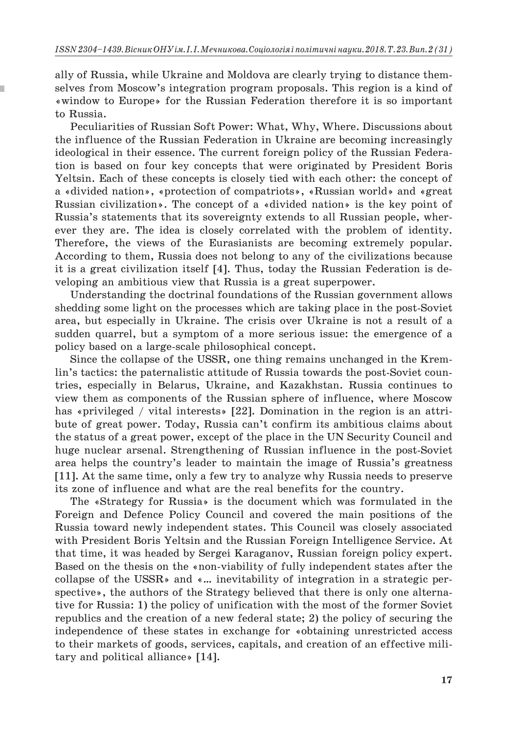ally of Russia, while Ukraine and Moldova are clearly trying to distance themselves from Moscow's integration program proposals. This region is a kind of «window to Europe» for the Russian Federation therefore it is so important to Russia.

ı

Peculiarities of Russian Soft Power: What, Why, Where. Discussions about the influence of the Russian Federation in Ukraine are becoming increasingly ideological in their essence. The current foreign policy of the Russian Federation is based on four key concepts that were originated by President Boris Yeltsin. Each of these concepts is closely tied with each other: the concept of a «divided nation», «protection of compatriots», «Russian world» and «great Russian civilization». The concept of a «divided nation» is the key point of Russia's statements that its sovereignty extends to all Russian people, wherever they are. The idea is closely correlated with the problem of identity. Therefore, the views of the Eurasianists are becoming extremely popular. According to them, Russia does not belong to any of the civilizations because it is a great civilization itself [4]. Thus, today the Russian Federation is developing an ambitious view that Russia is a great superpower.

Understanding the doctrinal foundations of the Russian government allows shedding some light on the processes which are taking place in the post-Soviet area, but especially in Ukraine. The crisis over Ukraine is not a result of a sudden quarrel, but a symptom of a more serious issue: the emergence of a policy based on a large-scale philosophical concept.

Since the collapse of the USSR, one thing remains unchanged in the Kremlin's tactics: the paternalistic attitude of Russia towards the post-Soviet countries, especially in Belarus, Ukraine, and Kazakhstan. Russia continues to view them as components of the Russian sphere of influence, where Moscow has «privileged / vital interests» [22]. Domination in the region is an attribute of great power. Today, Russia can't confirm its ambitious claims about the status of a great power, except of the place in the UN Security Council and huge nuclear arsenal. Strengthening of Russian influence in the post-Soviet area helps the country's leader to maintain the image of Russia's greatness [11]. At the same time, only a few try to analyze why Russia needs to preserve its zone of influence and what are the real benefits for the country.

The «Strategy for Russia» is the document which was formulated in the Foreign and Defence Policy Council and covered the main positions of the Russia toward newly independent states. This Council was closely associated with President Boris Yeltsin and the Russian Foreign Intelligence Service. At that time, it was headed by Sergei Karaganov, Russian foreign policy expert. Based on the thesis on the «non-viability of fully independent states after the collapse of the USSR» and «… inevitability of integration in a strategic perspective», the authors of the Strategy believed that there is only one alternative for Russia: 1) the policy of unification with the most of the former Soviet republics and the creation of a new federal state; 2) the policy of securing the independence of these states in exchange for «obtaining unrestricted access to their markets of goods, services, capitals, and creation of an effective military and political alliance» [14].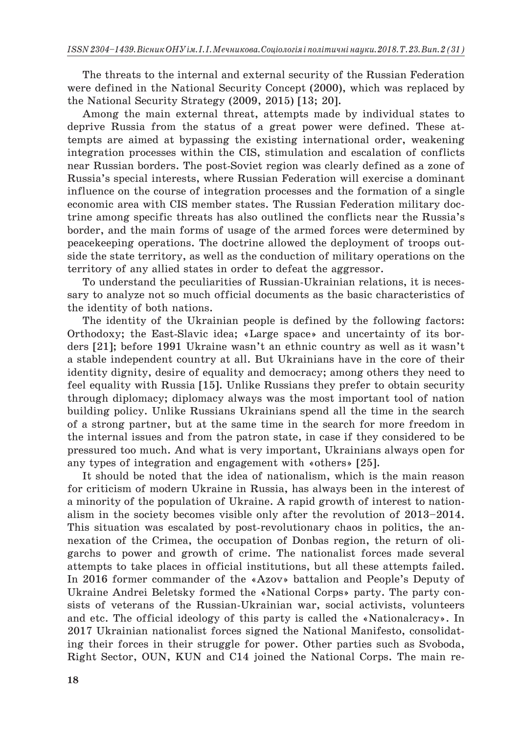The threats to the internal and external security of the Russian Federation were defined in the National Security Concept (2000), which was replaced by the National Security Strategy (2009, 2015) [13; 20].

Among the main external threat, attempts made by individual states to deprive Russia from the status of a great power were defined. These attempts are aimed at bypassing the existing international order, weakening integration processes within the CIS, stimulation and escalation of conflicts near Russian borders. The post-Soviet region was clearly defined as a zone of Russia's special interests, where Russian Federation will exercise a dominant influence on the course of integration processes and the formation of a single economic area with CIS member states. The Russian Federation military doctrine among specific threats has also outlined the conflicts near the Russia's border, and the main forms of usage of the armed forces were determined by peacekeeping operations. The doctrine allowed the deployment of troops outside the state territory, as well as the conduction of military operations on the territory of any allied states in order to defeat the aggressor.

To understand the peculiarities of Russian-Ukrainian relations, it is necessary to analyze not so much official documents as the basic characteristics of the identity of both nations.

The identity of the Ukrainian people is defined by the following factors: Orthodoxy; the East-Slavic idea; «Large space» and uncertainty of its borders [21]; before 1991 Ukraine wasn't an ethnic country as well as it wasn't a stable independent country at all. But Ukrainians have in the core of their identity dignity, desire of equality and democracy; among others they need to feel equality with Russia [15]. Unlike Russians they prefer to obtain security through diplomacy; diplomacy always was the most important tool of nation building policy. Unlike Russians Ukrainians spend all the time in the search of a strong partner, but at the same time in the search for more freedom in the internal issues and from the patron state, in case if they considered to be pressured too much. And what is very important, Ukrainians always open for any types of integration and engagement with «others» [25].

It should be noted that the idea of nationalism, which is the main reason for criticism of modern Ukraine in Russia, has always been in the interest of a minority of the population of Ukraine. A rapid growth of interest to nationalism in the society becomes visible only after the revolution of 2013–2014. This situation was escalated by post-revolutionary chaos in politics, the annexation of the Crimea, the occupation of Donbas region, the return of oligarchs to power and growth of crime. The nationalist forces made several attempts to take places in official institutions, but all these attempts failed. In 2016 former commander of the «Azov» battalion and People's Deputy of Ukraine Andrei Beletsky formed the «National Corps» party. The party consists of veterans of the Russian-Ukrainian war, social activists, volunteers and etc. The official ideology of this party is called the «Nationalcracy». In 2017 Ukrainian nationalist forces signed the National Manifesto, consolidating their forces in their struggle for power. Other parties such as Svoboda, Right Sector, OUN, KUN and C14 joined the National Corps. The main re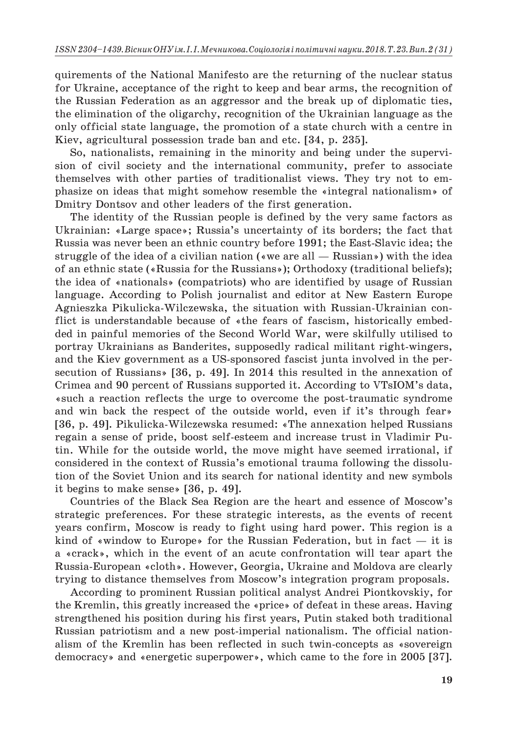quirements of the National Manifesto are the returning of the nuclear status for Ukraine, acceptance of the right to keep and bear arms, the recognition of the Russian Federation as an aggressor and the break up of diplomatic ties, the elimination of the oligarchy, recognition of the Ukrainian language as the only official state language, the promotion of a state church with a centre in Kiev, agricultural possession trade ban and etc. [34, p. 235].

So, nationalists, remaining in the minority and being under the supervision of civil society and the international community, prefer to associate themselves with other parties of traditionalist views. They try not to emphasize on ideas that might somehow resemble the «integral nationalism» of Dmitry Dontsov and other leaders of the first generation.

The identity of the Russian people is defined by the very same factors as Ukrainian: «Large space»; Russia's uncertainty of its borders; the fact that Russia was never been an ethnic country before 1991; the East-Slavic idea; the struggle of the idea of a civilian nation («we are all — Russian») with the idea of an ethnic state («Russia for the Russians»); Orthodoxy (traditional beliefs); the idea of «nationals» (compatriots) who are identified by usage of Russian language. According to Polish journalist and editor at New Eastern Europe Agnieszka Pikulicka-Wilczewska, the situation with Russian-Ukrainian conflict is understandable because of «the fears of fascism, historically embedded in painful memories of the Second World War, were skilfully utilised to portray Ukrainians as Banderites, supposedly radical militant right-wingers, and the Kiev government as a US-sponsored fascist junta involved in the persecution of Russians» [36, p. 49]. In 2014 this resulted in the annexation of Crimea and 90 percent of Russians supported it. According to VTsIOM's data, «such a reaction reflects the urge to overcome the post-traumatic syndrome and win back the respect of the outside world, even if it's through fear» [36, p. 49]. Pikulicka-Wilczewska resumed: «The annexation helped Russians regain a sense of pride, boost self-esteem and increase trust in Vladimir Putin. While for the outside world, the move might have seemed irrational, if considered in the context of Russia's emotional trauma following the dissolution of the Soviet Union and its search for national identity and new symbols it begins to make sense» [36, p. 49].

Countries of the Black Sea Region are the heart and essence of Moscow's strategic preferences. For these strategic interests, as the events of recent years confirm, Moscow is ready to fight using hard power. This region is a kind of «window to Europe» for the Russian Federation, but in fact  $-$  it is a «crack», which in the event of an acute confrontation will tear apart the Russia-European «cloth». However, Georgia, Ukraine and Moldova are clearly trying to distance themselves from Moscow's integration program proposals.

According to prominent Russian political analyst Andrei Piontkovskiy, for the Kremlin, this greatly increased the «price» of defeat in these areas. Having strengthened his position during his first years, Putin staked both traditional Russian patriotism and a new post-imperial nationalism. The official nationalism of the Kremlin has been reflected in such twin-concepts as «sovereign democracy» and «energetic superpower», which came to the fore in 2005 [37].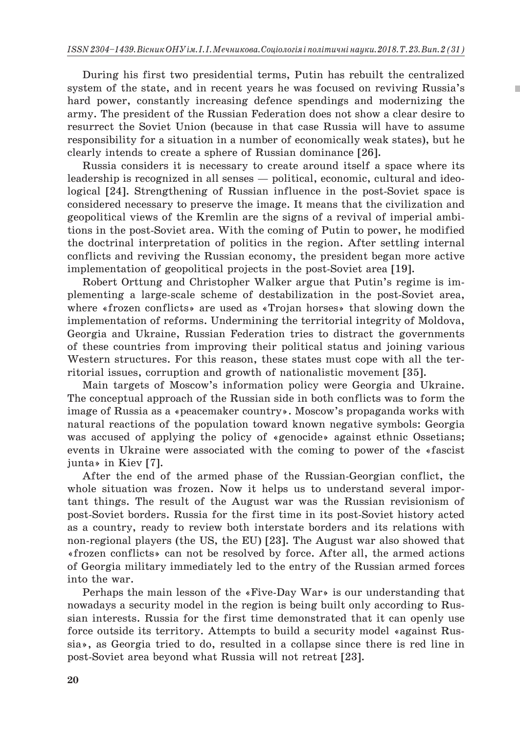During his first two presidential terms, Putin has rebuilt the centralized system of the state, and in recent years he was focused on reviving Russia's hard power, constantly increasing defence spendings and modernizing the army. The president of the Russian Federation does not show a clear desire to resurrect the Soviet Union (because in that case Russia will have to assume responsibility for a situation in a number of economically weak states), but he clearly intends to create a sphere of Russian dominance [26].

п

Russia considers it is necessary to create around itself a space where its leadership is recognized in all senses — political, economic, cultural and ideological [24]. Strengthening of Russian influence in the post-Soviet space is considered necessary to preserve the image. It means that the civilization and geopolitical views of the Kremlin are the signs of a revival of imperial ambitions in the post-Soviet area. With the coming of Putin to power, he modified the doctrinal interpretation of politics in the region. After settling internal conflicts and reviving the Russian economy, the president began more active implementation of geopolitical projects in the post-Soviet area [19].

Robert Orttung and Christopher Walker argue that Putin's regime is implementing a large-scale scheme of destabilization in the post-Soviet area, where «frozen conflicts» are used as «Trojan horses» that slowing down the implementation of reforms. Undermining the territorial integrity of Moldova, Georgia and Ukraine, Russian Federation tries to distract the governments of these countries from improving their political status and joining various Western structures. For this reason, these states must cope with all the territorial issues, corruption and growth of nationalistic movement [35].

Main targets of Moscow's information policy were Georgia and Ukraine. The conceptual approach of the Russian side in both conflicts was to form the image of Russia as a «peacemaker country». Moscow's propaganda works with natural reactions of the population toward known negative symbols: Georgia was accused of applying the policy of «genocide» against ethnic Ossetians; events in Ukraine were associated with the coming to power of the «fascist junta» in Kiev [7].

After the end of the armed phase of the Russian-Georgian conflict, the whole situation was frozen. Now it helps us to understand several important things. The result of the August war was the Russian revisionism of post-Soviet borders. Russia for the first time in its post-Soviet history acted as a country, ready to review both interstate borders and its relations with non-regional players (the US, the EU) [23]. The August war also showed that «frozen conflicts» can not be resolved by force. After all, the armed actions of Georgia military immediately led to the entry of the Russian armed forces into the war.

Perhaps the main lesson of the «Five-Day War» is our understanding that nowadays a security model in the region is being built only according to Russian interests. Russia for the first time demonstrated that it can openly use force outside its territory. Attempts to build a security model «against Russia», as Georgia tried to do, resulted in a collapse since there is red line in post-Soviet area beyond what Russia will not retreat [23].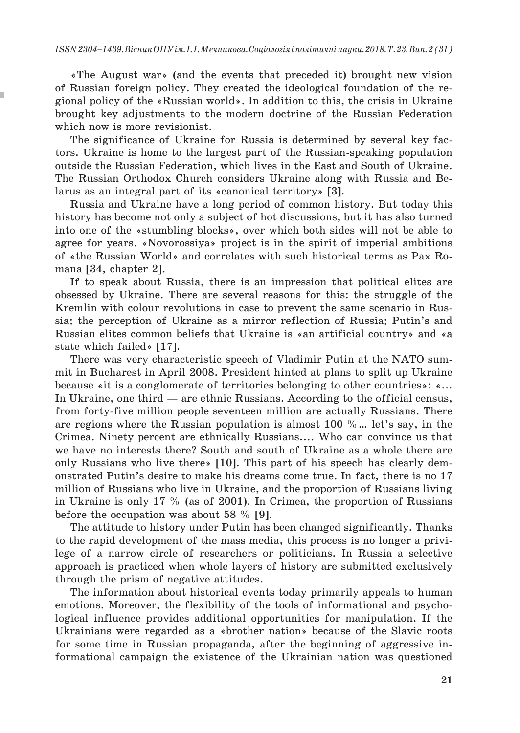«The August war» (and the events that preceded it) brought new vision of Russian foreign policy. They created the ideological foundation of the regional policy of the «Russian world». In addition to this, the crisis in Ukraine brought key adjustments to the modern doctrine of the Russian Federation which now is more revisionist.

The significance of Ukraine for Russia is determined by several key factors. Ukraine is home to the largest part of the Russian-speaking population outside the Russian Federation, which lives in the East and South of Ukraine. The Russian Orthodox Church considers Ukraine along with Russia and Belarus as an integral part of its «canonical territory» [3].

Russia and Ukraine have a long period of common history. But today this history has become not only a subject of hot discussions, but it has also turned into one of the «stumbling blocks», over which both sides will not be able to agree for years. «Novorossiya» project is in the spirit of imperial ambitions of «the Russian World» and correlates with such historical terms as Pax Romana [34, chapter 2].

If to speak about Russia, there is an impression that political elites are obsessed by Ukraine. There are several reasons for this: the struggle of the Kremlin with colour revolutions in case to prevent the same scenario in Russia; the perception of Ukraine as a mirror reflection of Russia; Putin's and Russian elites common beliefs that Ukraine is «an artificial country» and «a state which failed» [17].

There was very characteristic speech of Vladimir Putin at the NATO summit in Bucharest in April 2008. President hinted at plans to split up Ukraine because «it is a conglomerate of territories belonging to other countries»: «... In Ukraine, one third — are ethnic Russians. According to the official census, from forty-five million people seventeen million are actually Russians. There are regions where the Russian population is almost 100 %… let's say, in the Crimea. Ninety percent are ethnically Russians.... Who can convince us that we have no interests there? South and south of Ukraine as a whole there are only Russians who live there» [10]. This part of his speech has clearly demonstrated Putin's desire to make his dreams come true. In fact, there is no 17 million of Russians who live in Ukraine, and the proportion of Russians living in Ukraine is only 17 % (as of 2001). In Crimea, the proportion of Russians before the occupation was about 58 % [9].

The attitude to history under Putin has been changed significantly. Thanks to the rapid development of the mass media, this process is no longer a privilege of a narrow circle of researchers or politicians. In Russia a selective approach is practiced when whole layers of history are submitted exclusively through the prism of negative attitudes.

The information about historical events today primarily appeals to human emotions. Moreover, the flexibility of the tools of informational and psychological influence provides additional opportunities for manipulation. If the Ukrainians were regarded as a «brother nation» because of the Slavic roots for some time in Russian propaganda, after the beginning of aggressive informational campaign the existence of the Ukrainian nation was questioned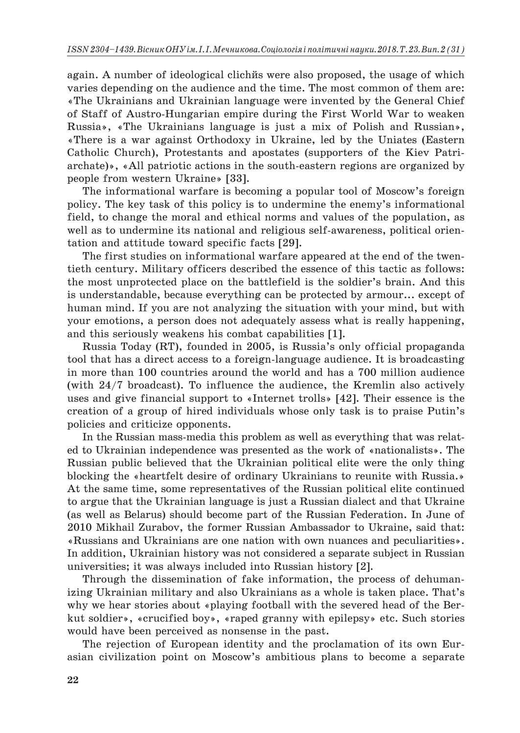again. A number of ideological clichés were also proposed, the usage of which varies depending on the audience and the time. The most common of them are: «The Ukrainians and Ukrainian language were invented by the General Chief of Staff of Austro-Hungarian empire during the First World War to weaken Russia», «The Ukrainians language is just a mix of Polish and Russian», «There is a war against Orthodoxy in Ukraine, led by the Uniates (Eastern Catholic Church), Protestants and apostates (supporters of the Kiev Patriarchate)», «All patriotic actions in the south-eastern regions are organized by people from western Ukraine» [33].

The informational warfare is becoming a popular tool of Moscow's foreign policy. The key task of this policy is to undermine the enemy's informational field, to change the moral and ethical norms and values of the population, as well as to undermine its national and religious self-awareness, political orientation and attitude toward specific facts [29].

The first studies on informational warfare appeared at the end of the twentieth century. Military officers described the essence of this tactic as follows: the most unprotected place on the battlefield is the soldier's brain. And this is understandable, because everything can be protected by armour... except of human mind. If you are not analyzing the situation with your mind, but with your emotions, a person does not adequately assess what is really happening, and this seriously weakens his combat capabilities [1].

Russia Today (RT), founded in 2005, is Russia's only official propaganda tool that has a direct access to a foreign-language audience. It is broadcasting in more than 100 countries around the world and has a 700 million audience (with 24/7 broadcast). To influence the audience, the Kremlin also actively uses and give financial support to «Internet trolls» [42]. Their essence is the creation of a group of hired individuals whose only task is to praise Putin's policies and criticize opponents.

In the Russian mass-media this problem as well as everything that was related to Ukrainian independence was presented as the work of «nationalists». The Russian public believed that the Ukrainian political elite were the only thing blocking the «heartfelt desire of ordinary Ukrainians to reunite with Russia.» At the same time, some representatives of the Russian political elite continued to argue that the Ukrainian language is just a Russian dialect and that Ukraine (as well as Belarus) should become part of the Russian Federation. In June of 2010 Mikhail Zurabov, the former Russian Ambassador to Ukraine, said that: «Russians and Ukrainians are one nation with own nuances and peculiarities». In addition, Ukrainian history was not considered a separate subject in Russian universities; it was always included into Russian history [2].

Through the dissemination of fake information, the process of dehumanizing Ukrainian military and also Ukrainians as a whole is taken place. That's why we hear stories about «playing football with the severed head of the Berkut soldier», «crucified boy», «raped granny with epilepsy» etc. Such stories would have been perceived as nonsense in the past.

The rejection of European identity and the proclamation of its own Eurasian civilization point on Moscow's ambitious plans to become a separate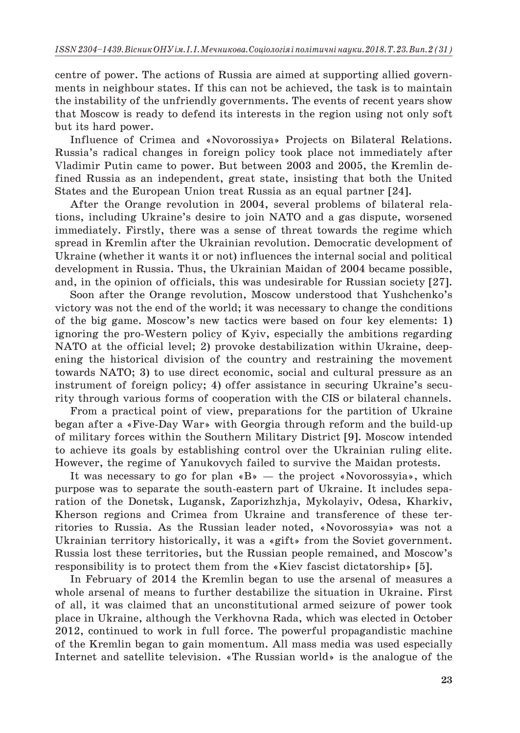centre of power. The actions of Russia are aimed at supporting allied governments in neighbour states. If this can not be achieved, the task is to maintain the instability of the unfriendly governments. The events of recent years show that Moscow is ready to defend its interests in the region using not only soft but its hard power.

Influence of Crimea and «Novorossiya» Projects on Bilateral Relations. Russia's radical changes in foreign policy took place not immediately after Vladimir Putin came to power. But between 2003 and 2005, the Kremlin defined Russia as an independent, great state, insisting that both the United States and the European Union treat Russia as an equal partner [24].

After the Orange revolution in 2004, several problems of bilateral relations, including Ukraine's desire to join NATO and a gas dispute, worsened immediately. Firstly, there was a sense of threat towards the regime which spread in Kremlin after the Ukrainian revolution. Democratic development of Ukraine (whether it wants it or not) influences the internal social and political development in Russia. Thus, the Ukrainian Maidan of 2004 became possible, and, in the opinion of officials, this was undesirable for Russian society [27].

Soon after the Orange revolution, Moscow understood that Yushchenko's victory was not the end of the world; it was necessary to change the conditions of the big game. Moscow's new tactics were based on four key elements: 1) ignoring the pro-Western policy of Kyiv, especially the ambitions regarding NATO at the official level; 2) provoke destabilization within Ukraine, deepening the historical division of the country and restraining the movement towards NATO; 3) to use direct economic, social and cultural pressure as an instrument of foreign policy; 4) offer assistance in securing Ukraine's security through various forms of cooperation with the CIS or bilateral channels.

From a practical point of view, preparations for the partition of Ukraine began after a «Five-Day War» with Georgia through reform and the build-up of military forces within the Southern Military District [9]. Moscow intended to achieve its goals by establishing control over the Ukrainian ruling elite. However, the regime of Yanukovych failed to survive the Maidan protests.

It was necessary to go for plan  $(B)$  – the project «Novorossyia», which purpose was to separate the south-eastern part of Ukraine. It includes separation of the Donetsk, Lugansk, Zaporizhzhja, Mykolayiv, Odesa, Kharkiv, Kherson regions and Crimea from Ukraine and transference of these territories to Russia. As the Russian leader noted, «Novorossyia» was not a Ukrainian territory historically, it was a «gift» from the Soviet government. Russia lost these territories, but the Russian people remained, and Moscow's responsibility is to protect them from the «Kiev fascist dictatorship» [5].

In February of 2014 the Kremlin began to use the arsenal of measures a whole arsenal of means to further destabilize the situation in Ukraine. First of all, it was claimed that an unconstitutional armed seizure of power took place in Ukraine, although the Verkhovna Rada, which was elected in October 2012, continued to work in full force. The powerful propagandistic machine of the Kremlin began to gain momentum. All mass media was used especially Internet and satellite television. «The Russian world» is the analogue of the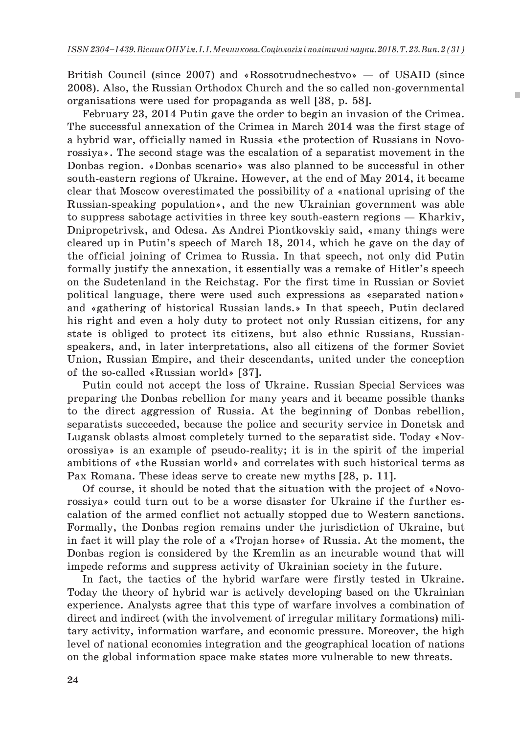British Council (since 2007) and «Rossotrudnechestvo» — of USAID (since 2008). Also, the Russian Orthodox Church and the so called non-governmental organisations were used for propaganda as well [38, p. 58].

ī

February 23, 2014 Putin gave the order to begin an invasion of the Crimea. The successful annexation of the Crimea in March 2014 was the first stage of a hybrid war, officially named in Russia «the protection of Russians in Novorossiya». The second stage was the escalation of a separatist movement in the Donbas region. «Donbas scenario» was also planned to be successful in other south-eastern regions of Ukraine. However, at the end of May 2014, it became clear that Moscow overestimated the possibility of a «national uprising of the Russian-speaking population», and the new Ukrainian government was able to suppress sabotage activities in three key south-eastern regions — Kharkiv, Dnipropetrivsk, and Odesa. As Andrei Piontkovskiy said, «many things were cleared up in Putin's speech of March 18, 2014, which he gave on the day of the official joining of Crimea to Russia. In that speech, not only did Putin formally justify the annexation, it essentially was a remake of Hitler's speech on the Sudetenland in the Reichstag. For the first time in Russian or Soviet political language, there were used such expressions as «separated nation» and «gathering of historical Russian lands.» In that speech, Putin declared his right and even a holy duty to protect not only Russian citizens, for any state is obliged to protect its citizens, but also ethnic Russians, Russianspeakers, and, in later interpretations, also all citizens of the former Soviet Union, Russian Empire, and their descendants, united under the conception of the so-called «Russian world» [37].

Putin could not accept the loss of Ukraine. Russian Special Services was preparing the Donbas rebellion for many years and it became possible thanks to the direct aggression of Russia. At the beginning of Donbas rebellion, separatists succeeded, because the police and security service in Donetsk and Lugansk oblasts almost completely turned to the separatist side. Today «Novorossiya» is an example of pseudo-reality; it is in the spirit of the imperial ambitions of «the Russian world» and correlates with such historical terms as Pax Romana. These ideas serve to create new myths [28, p. 11].

Of course, it should be noted that the situation with the project of «Novorossiya» could turn out to be a worse disaster for Ukraine if the further escalation of the armed conflict not actually stopped due to Western sanctions. Formally, the Donbas region remains under the jurisdiction of Ukraine, but in fact it will play the role of a «Trojan horse» of Russia. At the moment, the Donbas region is considered by the Kremlin as an incurable wound that will impede reforms and suppress activity of Ukrainian society in the future.

In fact, the tactics of the hybrid warfare were firstly tested in Ukraine. Today the theory of hybrid war is actively developing based on the Ukrainian experience. Analysts agree that this type of warfare involves a combination of direct and indirect (with the involvement of irregular military formations) military activity, information warfare, and economic pressure. Moreover, the high level of national economies integration and the geographical location of nations on the global information space make states more vulnerable to new threats.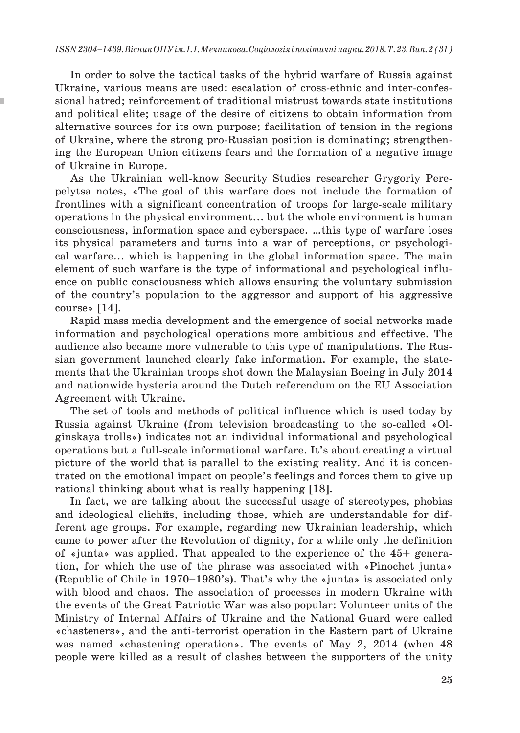In order to solve the tactical tasks of the hybrid warfare of Russia against Ukraine, various means are used: escalation of cross-ethnic and inter-confessional hatred; reinforcement of traditional mistrust towards state institutions and political elite; usage of the desire of citizens to obtain information from alternative sources for its own purpose; facilitation of tension in the regions of Ukraine, where the strong pro-Russian position is dominating; strengthening the European Union citizens fears and the formation of a negative image of Ukraine in Europe.

As the Ukrainian well-know Security Studies researcher Grygoriy Perepelytsa notes, «The goal of this warfare does not include the formation of frontlines with a significant concentration of troops for large-scale military operations in the physical environment... but the whole environment is human consciousness, information space and cyberspace. …this type of warfare loses its physical parameters and turns into a war of perceptions, or psychological warfare... which is happening in the global information space. The main element of such warfare is the type of informational and psychological influence on public consciousness which allows ensuring the voluntary submission of the country's population to the aggressor and support of his aggressive course» [14].

Rapid mass media development and the emergence of social networks made information and psychological operations more ambitious and effective. The audience also became more vulnerable to this type of manipulations. The Russian government launched clearly fake information. For example, the statements that the Ukrainian troops shot down the Malaysian Boeing in July 2014 and nationwide hysteria around the Dutch referendum on the EU Association Agreement with Ukraine.

The set of tools and methods of political influence which is used today by Russia against Ukraine (from television broadcasting to the so-called «Olginskaya trolls») indicates not an individual informational and psychological operations but a full-scale informational warfare. It's about creating a virtual picture of the world that is parallel to the existing reality. And it is concentrated on the emotional impact on people's feelings and forces them to give up rational thinking about what is really happening [18].

In fact, we are talking about the successful usage of stereotypes, phobias and ideological clich is, including those, which are understandable for different age groups. For example, regarding new Ukrainian leadership, which came to power after the Revolution of dignity, for a while only the definition of «junta» was applied. That appealed to the experience of the 45+ generation, for which the use of the phrase was associated with «Pinochet junta» (Republic of Chile in 1970–1980's). That's why the «junta» is associated only with blood and chaos. The association of processes in modern Ukraine with the events of the Great Patriotic War was also popular: Volunteer units of the Ministry of Internal Affairs of Ukraine and the National Guard were called «chasteners», and the anti-terrorist operation in the Eastern part of Ukraine was named «chastening operation». The events of May 2, 2014 (when 48 people were killed as a result of clashes between the supporters of the unity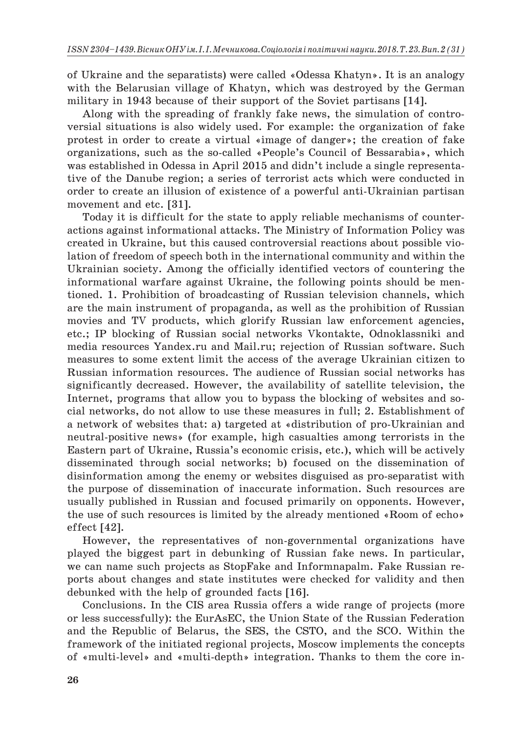of Ukraine and the separatists) were called «Odessa Khatyn». It is an analogy with the Belarusian village of Khatyn, which was destroyed by the German military in 1943 because of their support of the Soviet partisans [14].

Along with the spreading of frankly fake news, the simulation of controversial situations is also widely used. For example: the organization of fake protest in order to create a virtual «image of danger»; the creation of fake organizations, such as the so-called «People's Council of Bessarabia», which was established in Odessa in April 2015 and didn't include a single representative of the Danube region; a series of terrorist acts which were conducted in order to create an illusion of existence of a powerful anti-Ukrainian partisan movement and etc. [31].

Today it is difficult for the state to apply reliable mechanisms of counteractions against informational attacks. The Ministry of Information Policy was created in Ukraine, but this caused controversial reactions about possible violation of freedom of speech both in the international community and within the Ukrainian society. Among the officially identified vectors of countering the informational warfare against Ukraine, the following points should be mentioned. 1. Prohibition of broadcasting of Russian television channels, which are the main instrument of propaganda, as well as the prohibition of Russian movies and TV products, which glorify Russian law enforcement agencies, etc.; IP blocking of Russian social networks Vkontakte, Odnoklassniki and media resources Yandex.ru and Mail.ru; rejection of Russian software. Such measures to some extent limit the access of the average Ukrainian citizen to Russian information resources. The audience of Russian social networks has significantly decreased. However, the availability of satellite television, the Internet, programs that allow you to bypass the blocking of websites and social networks, do not allow to use these measures in full; 2. Establishment of a network of websites that: a) targeted at «distribution of pro-Ukrainian and neutral-positive news» (for example, high casualties among terrorists in the Eastern part of Ukraine, Russia's economic crisis, etc.), which will be actively disseminated through social networks; b) focused on the dissemination of disinformation among the enemy or websites disguised as pro-separatist with the purpose of dissemination of inaccurate information. Such resources are usually published in Russian and focused primarily on opponents. However, the use of such resources is limited by the already mentioned «Room of echo» effect [42].

However, the representatives of non-governmental organizations have played the biggest part in debunking of Russian fake news. In particular, we can name such projects as StopFake and Informnapalm. Fake Russian reports about changes and state institutes were checked for validity and then debunked with the help of grounded facts [16].

Conclusions. In the CIS area Russia offers a wide range of projects (more or less successfully): the EurAsEC, the Union State of the Russian Federation and the Republic of Belarus, the SES, the CSTO, and the SCO. Within the framework of the initiated regional projects, Moscow implements the concepts of «multi-level» and «multi-depth» integration. Thanks to them the core in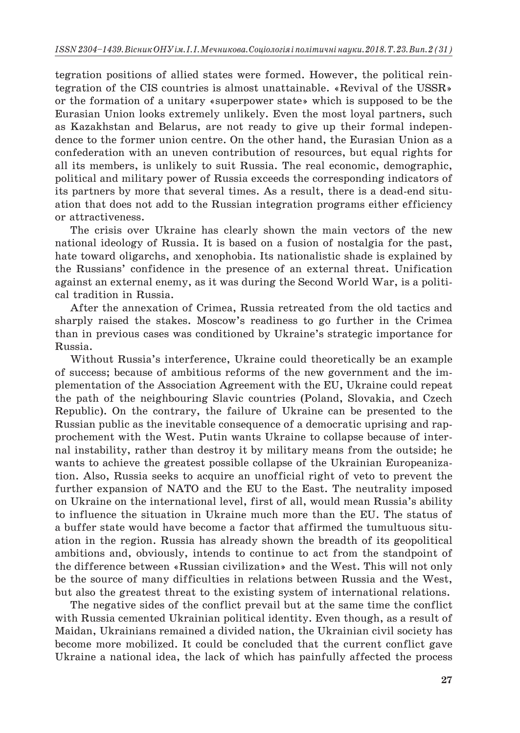tegration positions of allied states were formed. However, the political reintegration of the CIS countries is almost unattainable. «Revival of the USSR» or the formation of a unitary «superpower state» which is supposed to be the Eurasian Union looks extremely unlikely. Even the most loyal partners, such as Kazakhstan and Belarus, are not ready to give up their formal independence to the former union centre. On the other hand, the Eurasian Union as a confederation with an uneven contribution of resources, but equal rights for all its members, is unlikely to suit Russia. The real economic, demographic, political and military power of Russia exceeds the corresponding indicators of its partners by more that several times. As a result, there is a dead-end situation that does not add to the Russian integration programs either efficiency or attractiveness.

The crisis over Ukraine has clearly shown the main vectors of the new national ideology of Russia. It is based on a fusion of nostalgia for the past, hate toward oligarchs, and xenophobia. Its nationalistic shade is explained by the Russians' confidence in the presence of an external threat. Unification against an external enemy, as it was during the Second World War, is a political tradition in Russia.

After the annexation of Crimea, Russia retreated from the old tactics and sharply raised the stakes. Moscow's readiness to go further in the Crimea than in previous cases was conditioned by Ukraine's strategic importance for Russia.

Without Russia's interference, Ukraine could theoretically be an example of success; because of ambitious reforms of the new government and the implementation of the Association Agreement with the EU, Ukraine could repeat the path of the neighbouring Slavic countries (Poland, Slovakia, and Czech Republic). On the contrary, the failure of Ukraine can be presented to the Russian public as the inevitable consequence of a democratic uprising and rapprochement with the West. Putin wants Ukraine to collapse because of internal instability, rather than destroy it by military means from the outside; he wants to achieve the greatest possible collapse of the Ukrainian Europeanization. Also, Russia seeks to acquire an unofficial right of veto to prevent the further expansion of NATO and the EU to the East. The neutrality imposed on Ukraine on the international level, first of all, would mean Russia's ability to influence the situation in Ukraine much more than the EU. The status of a buffer state would have become a factor that affirmed the tumultuous situation in the region. Russia has already shown the breadth of its geopolitical ambitions and, obviously, intends to continue to act from the standpoint of the difference between «Russian civilization» and the West. This will not only be the source of many difficulties in relations between Russia and the West, but also the greatest threat to the existing system of international relations.

The negative sides of the conflict prevail but at the same time the conflict with Russia cemented Ukrainian political identity. Even though, as a result of Maidan, Ukrainians remained a divided nation, the Ukrainian civil society has become more mobilized. It could be concluded that the current conflict gave Ukraine a national idea, the lack of which has painfully affected the process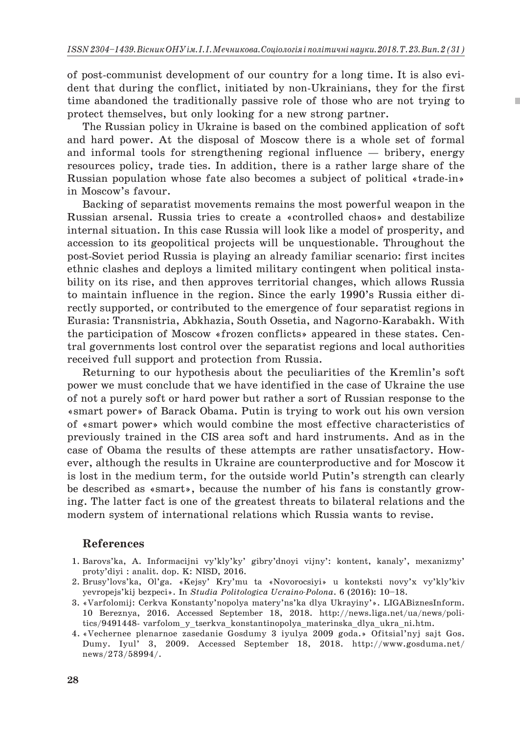of post-communist development of our country for a long time. It is also evident that during the conflict, initiated by non-Ukrainians, they for the first time abandoned the traditionally passive role of those who are not trying to protect themselves, but only looking for a new strong partner.

п

The Russian policy in Ukraine is based on the combined application of soft and hard power. At the disposal of Moscow there is a whole set of formal and informal tools for strengthening regional influence — bribery, energy resources policy, trade ties. In addition, there is a rather large share of the Russian population whose fate also becomes a subject of political «trade-in» in Moscow's favour.

Backing of separatist movements remains the most powerful weapon in the Russian arsenal. Russia tries to create a «controlled chaos» and destabilize internal situation. In this case Russia will look like a model of prosperity, and accession to its geopolitical projects will be unquestionable. Throughout the post-Soviet period Russia is playing an already familiar scenario: first incites ethnic clashes and deploys a limited military contingent when political instability on its rise, and then approves territorial changes, which allows Russia to maintain influence in the region. Since the early 1990's Russia either directly supported, or contributed to the emergence of four separatist regions in Eurasia: Transnistria, Abkhazia, South Ossetia, and Nagorno-Karabakh. With the participation of Moscow «frozen conflicts» appeared in these states. Central governments lost control over the separatist regions and local authorities received full support and protection from Russia.

Returning to our hypothesis about the peculiarities of the Kremlin's soft power we must conclude that we have identified in the case of Ukraine the use of not a purely soft or hard power but rather a sort of Russian response to the «smart power» of Barack Obama. Putin is trying to work out his own version of «smart power» which would combine the most effective characteristics of previously trained in the CIS area soft and hard instruments. And as in the case of Obama the results of these attempts are rather unsatisfactory. However, although the results in Ukraine are counterproductive and for Moscow it is lost in the medium term, for the outside world Putin's strength can clearly be described as «smart», because the number of his fans is constantly growing. The latter fact is one of the greatest threats to bilateral relations and the modern system of international relations which Russia wants to revise.

## **References**

- 1. Barovs'ka, A. Informacijni vy'kly'ky' gibry'dnoyi vijny': kontent, kanaly', mexanizmy' proty'diyi : analit. dop. K: NISD, 2016.
- 2. Brusy'lovs'ka, Ol'ga. «Kejsy' Kry'mu ta «Novorocsiyi» u konteksti novy'x vy'kly'kiv yevropejs'kij bezpeci». In *Studia Politologica Ucraino-Polona*. 6 (2016): 10–18.
- 3. «Varfolomij: Cerkva Konstanty'nopolya matery'ns'ka dlya Ukrayiny'». LIGABiznesInform. 10 Bereznya, 2016. Асcessed September 18, 2018. http://news.liga.net/ua/news/politics/9491448- varfolom\_y\_tserkva\_konstantinopolya\_materinska\_dlya\_ukra\_ni.htm.
- 4. «Vechernee plenarnoe zasedanie Gosdumy 3 iyulya 2009 goda.» Ofitsial'nyj sajt Gos. Dumy. Iyul' 3, 2009. Асcessed September 18, 2018. http://www.gosduma.net/ news/273/58994/.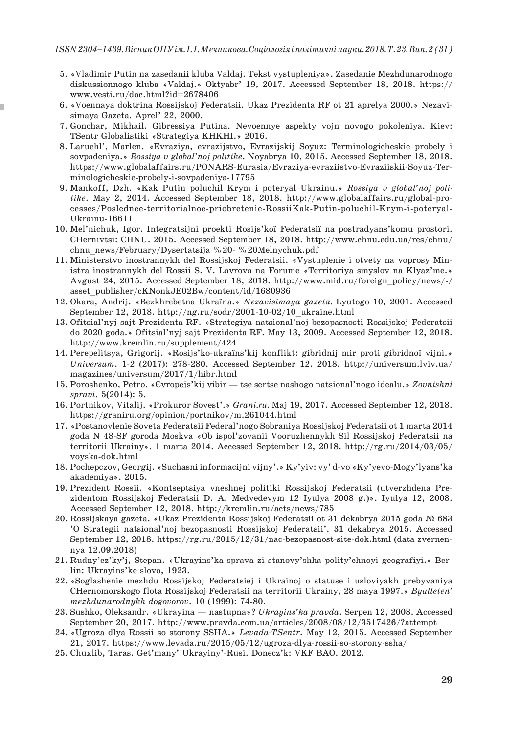- 5. «Vladimir Putin na zasedanii kluba Valdaj. Tekst vystupleniya». Zasedanie Mezhdunarodnogo diskussionnogo kluba «Valdaj.» Oktyabr' 19, 2017. Асcessed September 18, 2018. https:// www.vesti.ru/doc.html?id=2678406
- 6. «Voennaya doktrina Rossijskoj Federatsii. Ukaz Prezidenta RF ot 21 aprelya 2000.» Nezavisimaya Gazeta. Aprel' 22, 2000.
- 7. Gonchar, Mikhail. Gibressiya Putina. Nevoennye aspekty vojn novogo pokoleniya. Kiev: TSentr Globalistiki «Strategiya KHKHІ.» 2016.
- 8. Laruehl', Marlen. «Evraziya, evrazijstvo, Evrazijskij Soyuz: Terminologicheskie probely i sovpadeniya.» *Rossiya v global'noj politike*. Noyabrya 10, 2015. Асcessed September 18, 2018. https://www.globalaffairs.ru/PONARS-Eurasia/Evraziya-evraziistvo-Evraziiskii-Soyuz-Terminologicheskie-probely-i-sovpadeniya-17795
- 9. Mankoff, Dzh. «Kak Putin poluchil Krym i poteryal Ukrainu.» *Rossiya v global'noj politike*. May 2, 2014. Асcessed September 18, 2018. http://www.globalaffairs.ru/global-processes/Poslednee-territorialnoe-priobretenie-RossiiKak-Putin-poluchil-Krym-i-poteryal-Ukrainu-16611
- 10. Mel'nichuk, Іgor. Іntegratsіjnі proekti Rosіjs'koї Federatsії na postradyans'komu prostorі. CHernіvtsі: CHNU. 2015. Асcessed September 18, 2018. http://www.chnu.edu.ua/res/chnu/ chnu\_news/February/Dysertatsija %20- %20Melnychuk.pdf
- 11. Ministerstvo inostrannykh del Rossijskoj Federatsii. «Vystuplenie i otvety na voprosy Ministra inostrannykh del Rossii S. V. Lavrova na Forume «Territoriya smyslov na Klyaz'me.» Avgust 24, 2015. Асcessed September 18, 2018. http://www.mid.ru/foreign\_policy/news/-/ asset\_publisher/cKNonkJE02Bw/content/id/1680936
- 12. Okara, Аndrіj. «Bezkhrebetna Ukraїna.» *Nezavisimaya gazeta.* Lyutogo 10, 2001. Асcessed September 12, 2018. http://ng.ru/sodr/2001-10-02/10\_ukraine.html
- 13. Ofitsial'nyj sajt Prezidenta RF. «Strategiya natsional'noj bezopasnosti Rossijskoj Federatsii do 2020 goda.» Ofitsial'nyj sajt Prezidenta RF. May 13, 2009. Асcessed September 12, 2018. http://www.kremlin.ru/supplement/424
- 14. Perepelitsya, Grigorіj. «Rosіjs'ko-ukraїns'kij konflіkt: gіbridnij mir proti gіbridnoї vіjni.» *Unіversum*. 1-2 (2017): 278-280. Асcessed September 12, 2018. http://universum.lviv.ua/ magazines/universum/2017/1/hibr.html
- 15. Poroshenko, Petro. «Єvropejs'kij vibіr tse sertse nashogo natsіonal'nogo іdealu.» *Zovnіshnі spravi*. 5(2014): 5.
- 16. Portnikov, Vitalij. «Prokuror Sovest'.» *Grani.ru.* Maj 19, 2017. Асcessed September 12, 2018. https://graniru.org/opinion/portnikov/m.261044.html
- 17. «Postanovlenie Soveta Federatsii Federal'nogo Sobraniya Rossijskoj Federatsii ot 1 marta 2014 goda N 48-SF goroda Moskva «Ob ispol'zovanii Vooruzhennykh Sil Rossijskoj Federatsii na territorii Ukrainy». 1 marta 2014. Асcessed September 12, 2018. http://rg.ru/2014/03/05/ voyska-dok.html
- 18. Pochepczov, Georgij. «Suchasni informacijni vijny'.» Ky'yiv: vy' d-vo «Ky'yevo-Mogy'lyans'ka akademiya». 2015.
- 19. Prezident Rossii. «Kontseptsiya vneshnej politiki Rossijskoj Federatsii (utverzhdena Prezidentom Rossijskoj Federatsii D. А. Medvedevym 12 Iyulya 2008 g.)». Iyulya 12, 2008. Асcessed September 12, 2018. http://kremlin.ru/acts/news/785
- 20. Rossijskaya gazeta. «Ukaz Prezidenta Rossijskoj Federatsii ot 31 dekabrya 2015 goda № 683 'O Strategii natsional'noj bezopasnosti Rossijskoj Federatsii'. 31 dekabrya 2015. Асcessed September 12, 2018. https://rg.ru/2015/12/31/nac-bezopasnost-site-dok.html (data zvernennya 12.09.2018)
- 21. Rudny'cz'ky'j, Stepan. «Ukrayins'ka sprava zi stanovy'shha polity'chnoyi geografiyi.» Berlin: Ukrayins'ke slovo, 1923.
- 22. «Soglashenie mezhdu Rossijskoj Federatsiej i Ukrainoj o statuse i usloviyakh prebyvaniya CHernomorskogo flota Rossijskoj Federatsii na territorii Ukrainy, 28 maya 1997.» *Byulleten' mezhdunarodnykh dogovorov*. 10 (1999): 74-80.
- 23. Sushko, Oleksandr. «Ukrayina nastupna»? *Ukrayins'ka pravda*. Serpen 12, 2008. Асcessed September 20, 2017. http://www.pravda.com.ua/articles/2008/08/12/3517426/?attempt
- 24. «Ugroza dlya Rossii so storony SSHА.» *Levada-TSentr*. May 12, 2015. Асcessed September 21, 2017. https://www.levada.ru/2015/05/12/ugroza-dlya-rossii-so-storony-ssha/
- 25. Chuxlib, Taras. Get'many' Ukrayiny'-Rusi. Donecz'k: VKF BAO. 2012.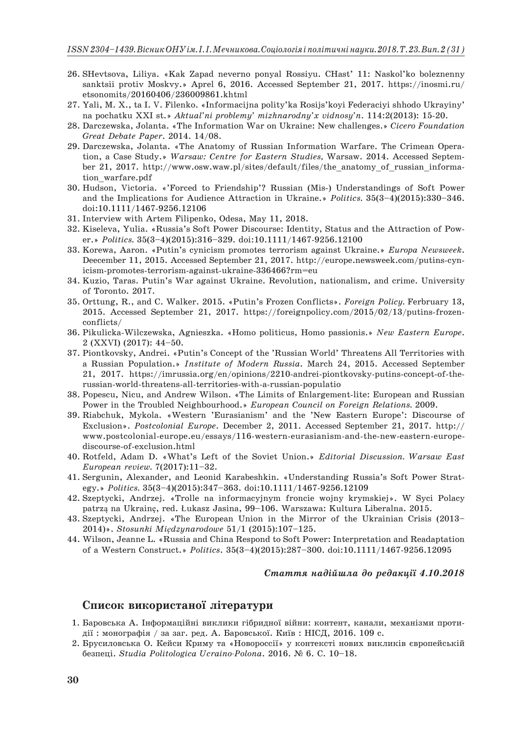- 26. SHevtsova, Liliya. «Kak Zapad neverno ponyal Rossiyu. CHast' 11: Naskol'ko boleznenny sanktsii protiv Moskvy.» Аprel 6, 2016. Асcessed September 21, 2017. https://inosmi.ru/ etsonomits/20160406/236009861.khtml
- 27. Yali, M. X., ta I. V. Filenko. «Informacijna polity'ka Rosijs'koyi Federaciyi shhodo Ukrayiny' na pochatku XXI st.» *Aktual'ni problemy' mizhnarodny'x vidnosy'n*. 114:2(2013): 15-20.
- 28. Darczewska, Jolanta. «The Information War on Ukraine: New challenges.» *Cicero Foundation Great Debate Paper*. 2014. 14/08.
- 29. Darczewska, Jolanta. «The Anatomy of Russian Information Warfare. The Crimean Operation, a Case Study.» *Warsaw: Centre for Eastern Studies,* Warsaw. 2014. Асcessed September 21, 2017. http://www.osw.waw.pl/sites/default/files/the\_anatomy\_of\_russian\_information\_warfare.pdf
- 30. Hudson, Victoria. «'Forced to Friendship'? Russian (Mis‐) Understandings of Soft Power and the Implications for Audience Attraction in Ukraine.» *Politics.* 35(3–4)(2015):330–346. doi:10.1111/1467-9256.12106
- 31. Interview with Artem Filipenko, Odesa, May 11, 2018.
- 32. Kiseleva, Yulia. «Russia's Soft Power Discourse: Identity, Status and the Attraction of Power.» *Politics.* 35(3–4)(2015):316–329. doi:10.1111/1467-9256.12100
- 33. Korewa, Aaron. «Putin's cynicism promotes terrorism against Ukraine.» *Europa Newsweek*. Deecember 11, 2015. Асcessed September 21, 2017. http://europe.newsweek.com/putins-cynicism-promotes-terrorism-against-ukraine-336466?rm=eu
- 34. Kuzio, Taras. Putin's War against Ukraine. Revolution, nationalism, and crime. University of Toronto. 2017.
- 35. Orttung, R., and C. Walker. 2015. «Putin's Frozen Conflicts». *Foreign Policy.* Ferbruary 13, 2015. Асcessed September 21, 2017. https://foreignpolicy.com/2015/02/13/putins-frozenconflicts/
- 36. Pikulicka-Wilczewska, Agnieszka. «Homo politicus, Homo passionis.» *New Eastern Europe*. 2 (XXVI) (2017): 44–50.
- 37. Piontkovsky, Andrei. «Putin's Concept of the 'Russian World' Threatens All Territories with a Russian Population.» *Institute of Modern Russia*. March 24, 2015. Асcessed September 21, 2017. https://imrussia.org/en/opinions/2210-andrei-piontkovsky-putins-concept-of-therussian-world-threatens-all-territories-with-a-russian-populatio
- 38. Popescu, Nicu, and Andrew Wilson. «The Limits of Enlargement-lite: European and Russian Power in the Troubled Neighbourhood.» *European Council on Foreign Relations.* 2009.
- 39. Riabchuk, Mykola. «Western 'Eurasianism' and the 'New Eastern Europe': Discourse of Exclusion». *Postcolonial Europe*. December 2, 2011. Асcessed September 21, 2017. http:// www.postcolonial-europe.eu/essays/116-western-eurasianism-and-the-new-eastern-europediscourse-of-exclusion.html
- 40. Rotfeld, Adam D. «What's Left of the Soviet Union.» *Editorial Discussion. Warsaw East European review.* 7(2017):11–32.
- 41. Sergunin, Alexander, and Leonid Karabeshkin. «Understanding Russia's Soft Power Strategy.» *Politics.* 35(3–4)(2015):347–363. doi:10.1111/1467-9256.12109
- 42. Szeptycki, Andrzej. «Trolle na informacyjnym froncie wojny krymskiej». W Syci Polacy patrzą na Ukrainę, red. Łukasz Jasina, 99–106. Warszawa: Kultura Liberalna. 2015.
- 43. Szeptycki, Andrzej. «The European Union in the Mirror of the Ukrainian Crisis (2013– 2014)». *Stosunki Międzynarodowe* 51/1 (2015):107–125.
- 44. Wilson, Jeanne L. «Russia and China Respond to Soft Power: Interpretation and Readaptation of a Western Construct.» *Politics*. 35(3–4)(2015):287–300. doi:10.1111/1467-9256.12095

#### *Cтаття надійшла до редакції 4.10.2018*

#### **Список використаної літератури**

- 1. Баровська А. Інформаційні виклики гібридної війни: контент, канали, механізми протидії : монографія / за заг. ред. А. Баровської. Київ : НІСД, 2016. 109 с.
- 2. Брусиловська О. Кейси Криму та «Новороcсії» у контексті нових викликів європейській безпеці. *Studia Politologica Ucraino-Polona*. 2016. № 6. С. 10–18.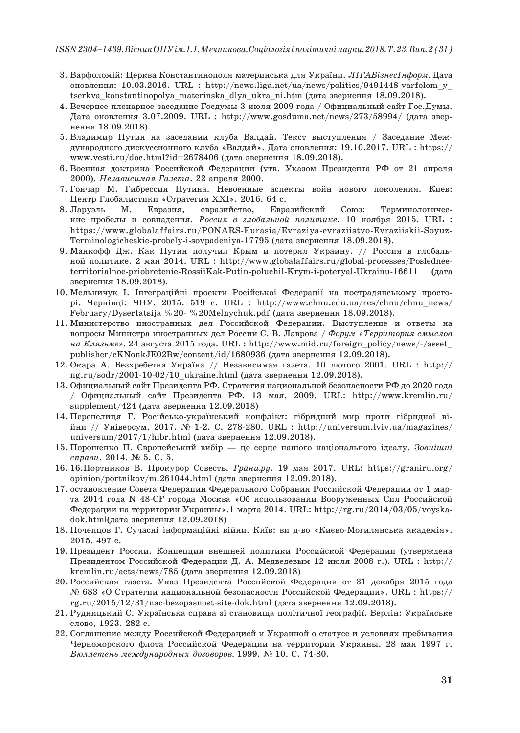- 3. Варфоломій: Церква Константинополя материнська для України. *ЛIГАБiзнесIнформ.* Дата оновлення: 10.03.2016. URL : http://news.liga.net/ua/news/politics/9491448-varfolom\_y\_ tserkva konstantinopolya materinska dlya ukra ni.htm (дата звернення 18.09.2018).
- 4. Вечернее пленарное заседание Госдумы 3 июля 2009 года / Официальный сайт Гос.Думы. Дата оновлення 3.07.2009. URL : http://www.gosduma.net/news/273/58994/ (дата звернення 18.09.2018).
- 5. Владимир Путин на заседании клуба Валдай. Текст выступления / Заседание Международного дискуссионного клуба «Валдай». Дата оновлення: 19.10.2017. URL : https:// www.vesti.ru/doc.html?id=2678406 (дата звернення 18.09.2018).
- 6. Военная доктрина Российской Федерации (утв. Указом Президента РФ от 21 апреля 2000). *Независимая Газета*. 22 апреля 2000.
- 7. Гончар М. Гибрессия Путина. Невоенные аспекты войн нового поколения. Киев: Центр Глобалистики «Стратегия ХХІ». 2016. 64 c.
- 8. Ларуэль М. Евразия, евразийство, Евразийский Союз: Терминологические пробелы и совпадения. *Россия в глобальной политике*. 10 ноября 2015. URL : https://www.globalaffairs.ru/PONARS-Eurasia/Evraziya-evraziistvo-Evraziiskii-Soyuz-Terminologicheskie-probely-i-sovpadeniya-17795 (дата звернення 18.09.2018).
- 9. Манкофф Дж. Как Путин получил Крым и потерял Украину. // Россия в глобальной политике. 2 мая 2014. URL : http://www.globalaffairs.ru/global-processes/Posledneeterritorialnoe-priobretenie-RossiiKak-Putin-poluchil-Krym-i-poteryal-Ukrainu-16611 (дата звернення 18.09.2018).
- 10. Мельничук І. Інтеграційні проекти Російської Федерації на пострадянському просторі. Чернівці: ЧНУ. 2015. 519 c. URL : http://www.chnu.edu.ua/res/chnu/chnu\_news/ February/Dysertatsija %20- %20Melnychuk.pdf (дата звернення 18.09.2018).
- 11. Министерство иностранных дел Российской Федерации. Выступление и ответы на вопросы Министра иностранных дел России С. В. Лаврова / *Форум «Территория смыслов на Клязьме».* 24 августа 2015 года. URL : http://www.mid.ru/foreign\_policy/news/-/asset\_ publisher/cKNonkJE02Bw/content/id/1680936 (дата звернення 12.09.2018).
- 12. Окара А. Безхребетна Україна // Независимая газета. 10 лютого 2001. URL : http:// ng.ru/sodr/2001-10-02/10\_ukraine.html (дата звернення 12.09.2018).
- 13. Официальный сайт Президента РФ. Стратегия национальной безопасности РФ до 2020 года / Официальный сайт Президента РФ. 13 мая, 2009. URL: http://www.kremlin.ru/ supplement/424 (дата звернення 12.09.2018)
- 14. Перепелиця Г. Російсько-український конфлікт: гібридний мир проти гібридної війни // Універсум. 2017. № 1-2. C. 278-280. URL : http://universum.lviv.ua/magazines/ universum/2017/1/hibr.html (дата звернення 12.09.2018).
- 15. Порошенко П. Європейський вибір це серце нашого національного ідеалу. *Зовнішні справи*. 2014. № 5. С. 5.
- 16. 16.Портников В. Прокурор Совесть. *Грани.ру*. 19 мая 2017. URL: https://graniru.org/ opinion/portnikov/m.261044.html (дата звернення 12.09.2018).
- 17. остановление Совета Федерации Федерального Собрания Российской Федерации от 1 марта 2014 года N 48-СF города Москва «Об использовании Вооруженных Сил Российской Федерации на территории Украины».1 марта 2014. URL: http://rg.ru/2014/03/05/voyskadok.html(дата звернення 12.09.2018)
- 18. Почепцов Г. Сучасні інформаційні війни. Київ: ви д-во «Києво-Могилянська академія». 2015. 497 с.
- 19. Президент России. Концепция внешней политики Российской Федерации (утверждена Президентом Российской Федерации Д. А. Медведевым 12 июля 2008 г.). URL : http:// kremlin.ru/acts/news/785 (дата звернення 12.09.2018)
- 20. Российская газета. Указ Президента Российской Федерации от 31 декабря 2015 года № 683 «О Стратегии национальной безопасности Российской Федерации». URL : https:// rg.ru/2015/12/31/nac-bezopasnost-site-dok.html (дата звернення 12.09.2018).
- 21. Рудницький С. Українська справа зі становища політичної географії. Берлін: Українське слово, 1923. 282 с.
- 22. Соглашение между Российской Федерацией и Украиной о статусе и условиях пребывания Черноморского флота Российской Федерации на территории Украины. 28 мая 1997 г. *Бюллетень международных договоров.* 1999. № 10. С. 74-80.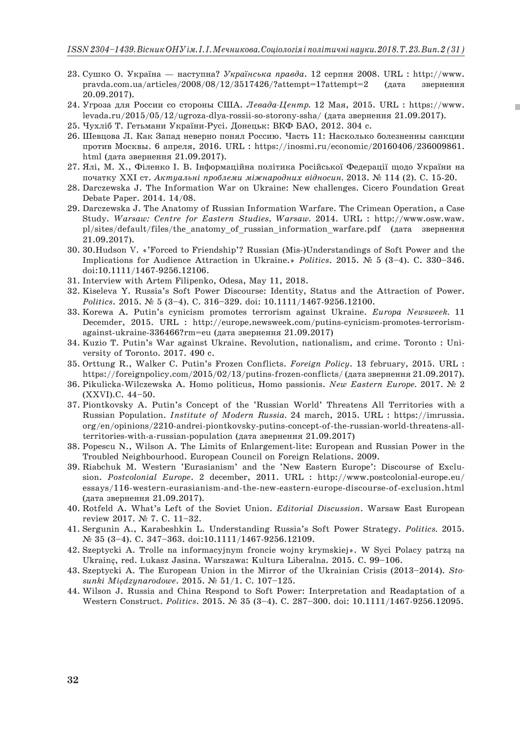- 23. Сушко О. Україна наступна? *Українська правда*. 12 серпня 2008. URL : http://www. pravda.com.ua/articles/2008/08/12/3517426/?attempt=1?attempt=2 (дата звернення 20.09.2017).
- 24. Угроза для России со стороны США. *Левада-Центр.* 12 Мая, 2015. URL : https://www. levada.ru/2015/05/12/ugroza-dlya-rossii-so-storony-ssha/ (дата звернення 21.09.2017).

Ì.

- 25. Чухліб Т. Гетьмани України-Русі. Донецьк: ВКФ БАО, 2012. 304 c.
- 26. Шевцова Л. Как Запад неверно понял Россию. Часть 11: Насколько болезненны санкции против Москвы. 6 апреля, 2016. URL : https://inosmi.ru/economic/20160406/236009861. html (дата звернення 21.09.2017).
- 27. Ялі, М. Х., Філенко І. В. Інформаційна політика Російської Федерації щодо України на початку ХХІ ст. *Актуальні проблеми міжнародних відносин.* 2013. № 114 (2). С. 15-20.
- 28. Darczewska J. The Information War on Ukraine: New challenges. Cicero Foundation Great Debate Paper. 2014. 14/08.
- 29. Darczewska J. The Anatomy of Russian Information Warfare. The Crimean Operation, a Case Study. *Warsaw: Centre for Eastern Studies, Warsaw.* 2014. URL : http://www.osw.waw. pl/sites/default/files/the\_anatomy\_of\_russian\_information\_warfare.pdf (дата звернення 21.09.2017).
- 30. 30.Hudson V. «'Forced to Friendship'? Russian (Mis‐)Understandings of Soft Power and the Implications for Audience Attraction in Ukraine.» *Politics*. 2015. № 5 (3–4). С. 330–346. doi:10.1111/1467-9256.12106.
- 31. Interview with Artem Filipenko, Odesa, May 11, 2018.
- 32. Kiseleva Y. Russia's Soft Power Discourse: Identity, Status and the Attraction of Power. *Politics*. 2015. № 5 (3–4). С. 316–329. doi: 10.1111/1467-9256.12100.
- 33. Korewa A. Putin's cynicism promotes terrorism against Ukraine. *Europa Newsweek.* 11 Decemder, 2015. URL : http://europe.newsweek.com/putins-cynicism-promotes-terrorismagainst-ukraine-336466?rm=eu (дата звернення 21.09.2017)
- 34. Kuzio T. Putin's War against Ukraine. Revolution, nationalism, and crime. Toronto : University of Toronto. 2017. 490 c.
- 35. Orttung R., Walker C. Putin's Frozen Conflicts. *Foreign Policy*. 13 february, 2015. URL : https://foreignpolicy.com/2015/02/13/putins-frozen-conflicts/ (дата звернення 21.09.2017).
- 36. Pikulicka-Wilczewska A. Homo politicus, Homo passionis. *New Eastern Europe.* 2017. № 2 (XXVI).С. 44–50.
- 37. Piontkovsky A. Putin's Concept of the 'Russian World' Threatens All Territories with a Russian Population. *Institute of Modern Russia.* 24 march, 2015. URL : https://imrussia. org/en/opinions/2210-andrei-piontkovsky-putins-concept-of-the-russian-world-threatens-allterritories-with-a-russian-population (дата звернення 21.09.2017)
- 38. Popescu N., Wilson A. The Limits of Enlargement-lite: European and Russian Power in the Troubled Neighbourhood. European Council on Foreign Relations. 2009.
- 39. Riabchuk M. Western 'Eurasianism' and the 'New Eastern Europe': Discourse of Exclusion. *Postcolonial Europe*. 2 december, 2011. URL : http://www.postcolonial-europe.eu/ essays/116-western-eurasianism-and-the-new-eastern-europe-discourse-of-exclusion.html (дата звернення 21.09.2017).
- 40. Rotfeld A. What's Left of the Soviet Union. *Editorial Discussion*. Warsaw East European review 2017. № 7. С. 11–32.
- 41. Sergunin A., Karabeshkin L. Understanding Russia's Soft Power Strategy. *Politics.* 2015. № 35 (3–4). С. 347–363. doi:10.1111/1467-9256.12109.
- 42. Szeptycki A. Trolle na informacyjnym froncie wojny krymskiej». W Syci Polacy patrzą na Ukrainę, red. Łukasz Jasina. Warszawa: Kultura Liberalna. 2015. С. 99–106.
- 43. Szeptycki A. The European Union in the Mirror of the Ukrainian Crisis (2013–2014). *Stosunki Międzynarodowe*. 2015. № 51/1. С. 107–125.
- 44. Wilson J. Russia and China Respond to Soft Power: Interpretation and Readaptation of a Western Construct. *Politics*. 2015. № 35 (3–4). С. 287–300. doi: 10.1111/1467-9256.12095.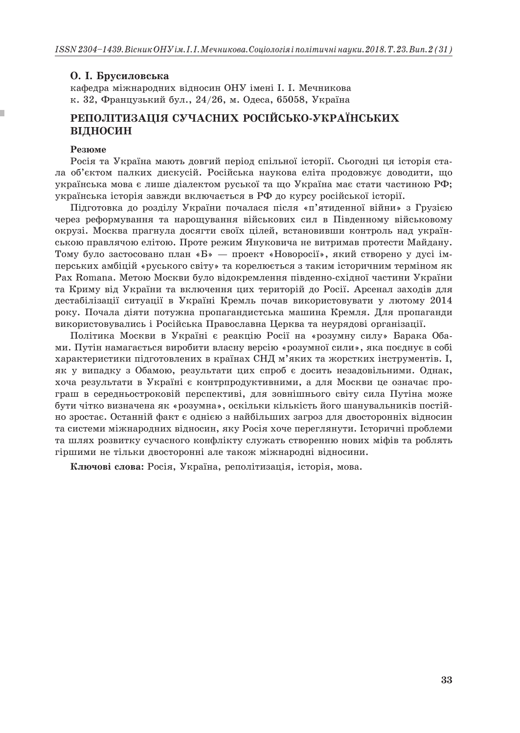### **О. І. Брусиловська**

кафедра міжнародних відносин ОНУ імені І. І. Мечникова к. 32, Французький бул., 24/26, м. Одеса, 65058, Україна

# **РЕПОЛІТИЗАЦІЯ СУЧАСНИХ РОСІЙСЬКО-УКРАЇНСЬКИХ ВІДНОСИН**

#### **Резюме**

Росія та Україна мають довгий період спільної історії. Сьогодні ця історія стала об'єктом палких дискусій. Російська наукова еліта продовжує доводити, що українська мова є лише діалектом руської та що Україна має стати частиною РФ; українська історія завжди включається в РФ до курсу російської історії.

Підготовка до розділу України почалася після «п'ятиденної війни» з Грузією через реформування та нарощування військових сил в Південному військовому окрузі. Москва прагнула досягти своїх цілей, встановивши контроль над українською правлячою елітою. Проте режим Януковича не витримав протести Майдану. Тому було застосовано план «Б» — проект «Новоросії», який створено у дусі імперських амбіцій «руського світу» та корелюється з таким історичним терміном як Pax Romana. Метою Москви було відокремлення південно-східної частини України та Криму від України та включення цих територій до Росії. Арсенал заходів для дестабілізації ситуації в Україні Кремль почав використовувати у лютому 2014 року. Почала діяти потужна пропагандистська машина Кремля. Для пропаганди використовувались і Російська Православна Церква та неурядові організації.

Політика Москви в Україні є реакцію Росії на «розумну силу» Барака Обами. Путін намагається виробити власну версію «розумної сили», яка поєднує в собі характеристики підготовлених в країнах СНД м'яких та жорстких інструментів. І, як у випадку з Обамою, результати цих спроб є досить незадовільними. Однак, хоча результати в Україні є контрпродуктивними, а для Москви це означає програш в середньостроковій перспективі, для зовнішнього світу сила Путіна може бути чітко визначена як «розумна», оскільки кількість його шанувальників постійно зростає. Останній факт є однією з найбільших загроз для двосторонніх відносин та системи міжнародних відносин, яку Росія хоче переглянути. Історичні проблеми та шлях розвитку сучасного конфлікту служать створенню нових міфів та роблять гіршими не тільки двосторонні але також міжнародні відносини.

**Ключові слова:** Росія, Україна, реполітизація, історія, мова.